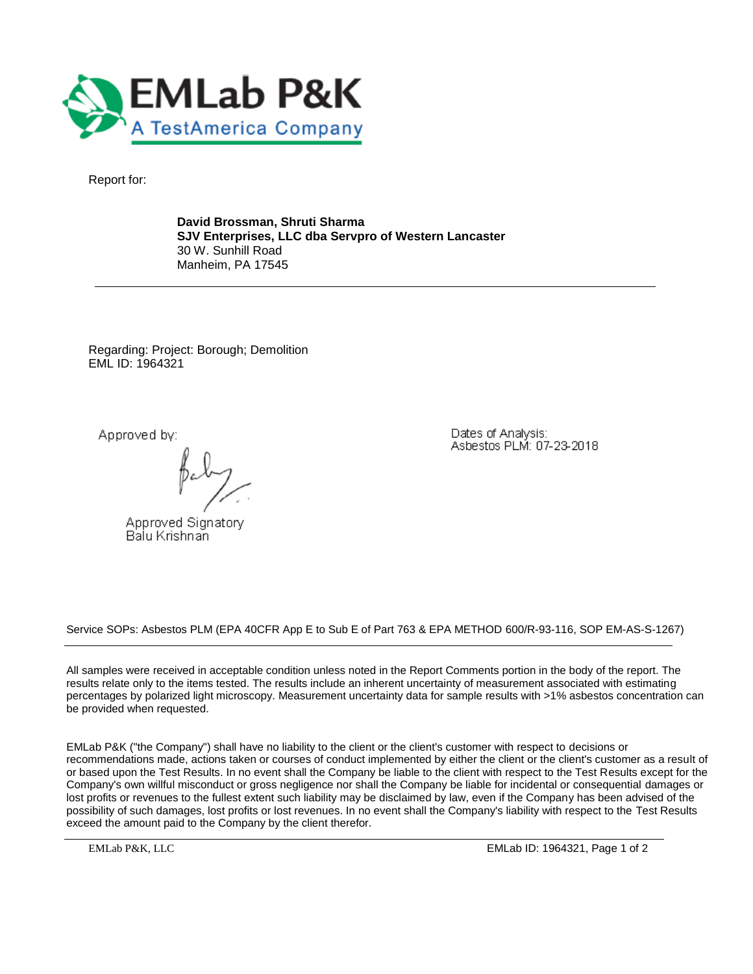

Report for:

**David Brossman, Shruti Sharma SJV Enterprises, LLC dba Servpro of Western Lancaster** 30 W. Sunhill Road Manheim, PA 17545

Regarding: Project: Borough; Demolition EML ID: 1964321

Approved by:

Approved Signatory Balu Krishnan

Dates of Analysis: Asbestos PLM: 07-23-2018

Service SOPs: Asbestos PLM (EPA 40CFR App E to Sub E of Part 763 & EPA METHOD 600/R-93-116, SOP EM-AS-S-1267)

All samples were received in acceptable condition unless noted in the Report Comments portion in the body of the report. The results relate only to the items tested. The results include an inherent uncertainty of measurement associated with estimating percentages by polarized light microscopy. Measurement uncertainty data for sample results with >1% asbestos concentration can be provided when requested.

EMLab P&K ("the Company") shall have no liability to the client or the client's customer with respect to decisions or recommendations made, actions taken or courses of conduct implemented by either the client or the client's customer as a result of or based upon the Test Results. In no event shall the Company be liable to the client with respect to the Test Results except for the Company's own willful misconduct or gross negligence nor shall the Company be liable for incidental or consequential damages or lost profits or revenues to the fullest extent such liability may be disclaimed by law, even if the Company has been advised of the possibility of such damages, lost profits or lost revenues. In no event shall the Company's liability with respect to the Test Results exceed the amount paid to the Company by the client therefor.